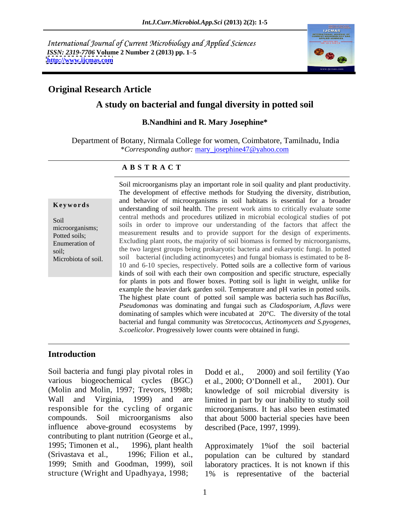International Journal of Current Microbiology and Applied Sciences *ISSN: 2319-7706* **Volume 2 Number 2 (2013) pp. 1 5 <http://www.ijcmas.com>**



# **Original Research Article**

# **A study on bacterial and fungal diversity in potted soil**

### **B.Nandhini and R. Mary Josephine\***

Department of Botany, Nirmala College for women, Coimbatore, Tamilnadu, India \**Corresponding author:* mary\_josephine47@yahoo.com

## **A B S T R A C T**

**Keywords** understanding of soil health. The present work aims to critically evaluate some Soil contains the procedures different increding of the factors that affect the soils in order to improve our understanding of the factors that affect the microorganisms;<br>
measurement results and to provide support for the design of experiments. Potted soils; heasy interest the same of provide support for the design of experiments. Enumeration of Excluding plant roots, the majority of soil biomass is formed by microorganisms, soil; the two largest groups being prokaryotic bacteria and eukaryotic fungi. In potted Microbiota of soil. soil bacterial (including actinomycetes) and fungal biomass is estimated to be 8- Soil microorganisms play an important role in soil quality and plant productivity.<br>The development of effective methods for Studying the diversity, distribution, and behavior of microorganisms in soil habitats is essential for a broader central methods and procedures utilized in microbial ecological studies of pot 10 and 6-10 species, respectively. Potted soils are a collective form of various kinds of soil with each their own composition and specific structure, especially for plants in pots and flower boxes. Potting soil is light in weight, unlike for example the heavier dark garden soil. Temperature and pH varies in potted soils. The highest plate count of potted soil sample was bacteria such has *Bacillus, Pseudomonas* was dominating and fungai such as *Cladosporium, A.flavs* were dominating of samples which were incubated at 20°C. The diversity of the total bacterial and fungal community was *Stretococcus, Actinomycets and S.pyogenes, S.coelicolor*. Progressively lower counts were obtained in fungi.

# **Introduction**

Soil bacteria and fungi play pivotal roles in Dodd et al., 2000) and soil fertility (Yao various biogeochemical cycles (BGC) et al., 2000; O'Donnell et al., 2001). Our (Molin and Molin, 1997; Trevors, 1998b; knowledge of soil microbial diversity is Wall and Virginia, 1999) and are limited in part by our inability to study soil responsible for the cycling of organic microorganisms. It has also been estimated compounds. Soil microorganisms also that about 5000 bacterial species have been influence above-ground ecosystems by contributing to plant nutrition (George et al.,1995; Timonen et al., 1996), plant health Approximately 1%of the soil bacterial

Dodd et al., 2000) and soil fertility (Yao et al., 2000; O Donnell et al., 2001). Our described (Pace, 1997, 1999).

(Srivastava et al., 1996; Filion et al.,population can be cultured by standard 1999; Smith and Goodman, 1999), soil laboratory practices. It is not known if this structure (Wright and Upadhyaya, 1998; 1% is representative of the bacterial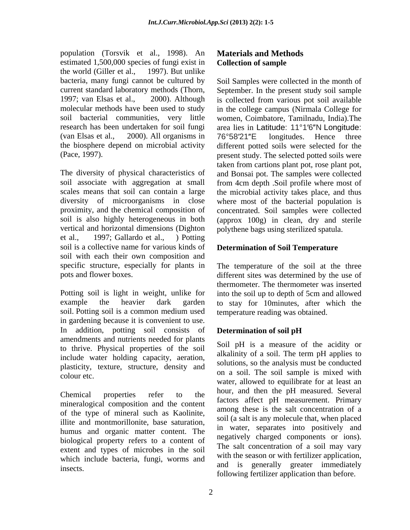population (Torsvik et al., 1998). An estimated 1,500,000 species of fungi exist in **Collection of sample** the world (Giller et al., 1997). But unlike the world (Giller et al., 1997). But unlike (van Elsas et al., 2000). All organisms in 76°58'21"E longitudes. Hence three

The diversity of physical characteristics of and Bonsai pot. The samples were collected soil associate with aggregation at small from 4cm depth .Soil profile where most of scales means that soil can contain a large the microbial activity takes place, and thus diversity of microorganisms in close where most of the bacterial population is proximity, and the chemical composition of concentrated. Soil samples were collected soil is also highly heterogeneous in both (approx 100g) in clean, dry and sterile vertical and horizontal dimensions (Dighton et al., 1997; Gallardo et al., ) Potting soil is a collective name for various kinds of soil with each their own composition and specific structure, especially for plants in The temperature of the soil at the three

Potting soil is light in weight, unlike for into the soil up to depth of 5cm and allowed example the heavier dark garden to stay for 10minutes, after which the soil. Potting soil is a common medium used in gardening because it is convenient to use. In addition, potting soil consists of Determination of soil pH amendments and nutrients needed for plants to thrive. Physical properties of the soil include water holding capacity, aeration, plasticity, texture, structure, density and

mineralogical composition and the content of the type of mineral such as Kaolinite, illite and montmorillonite, base saturation, humus and organic matter content. The biological property refers to a content of extent and types of microbes in the soil which include bacteria, fungi, worms and

# **Materials and Methods Collection of sample**

bacteria, many fungi cannot be cultured by Soil Samples were collected in the month of current standard laboratory methods (Thorn, September. In the present study soil sample 1997; van Elsas et al., 2000). Although is collected from various pot soil available molecular methods have been used to study in the college campus (Nirmala College for soil bacterial communities, very little women, Coimbatore, Tamilnadu, India).The research has been undertaken for soil fungi area lies in Latitude: 11°1'6"N Longitude: the biosphere depend on microbial activity different potted soils were selected for the (Pace, 1997). present study. The selected potted soils were 76°58'21"E longitudes. Hence three taken from cartions plant pot, rose plant pot, polythene bags using sterilized spatula.

# **Determination of Soil Temperature**

pots and flower boxes. different sites was determined by the use of thermometer. The thermometer was inserted temperature reading was obtained.

# **Determination of soil pH**

 $\frac{1}{2}$  colour etc. Chemical properties refer to the  $f(x) = f(x) - f(x)$  of  $f(x) = f(x) - f(x)$ insects. and is generally greater immediately Soil pH is a measure of the acidity or alkalinity of a soil. The term pH applies to solutions, so the analysis must be conducted on a soil. The soil sample is mixed with water, allowed to equilibrate for at least an hour, and then the pH measured. Several factors affect pH measurement. Primary among these is the salt concentration of a soil (a salt is any molecule that, when placed in water, separates into positively and negatively charged components or ions). The salt concentration of a soil may vary with the season or with fertilizer application, and is generally greater immediately following fertilizer application than before.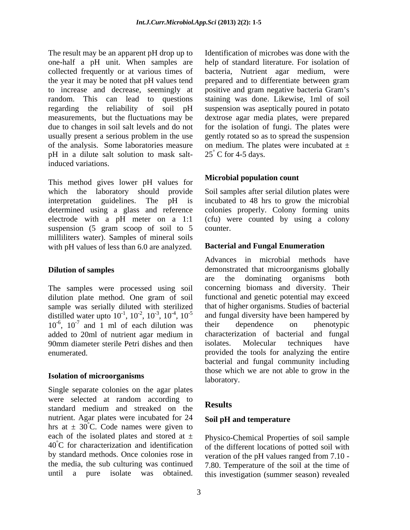The result may be an apparent pH drop up to one-half a pH unit. When samples are pH in a dilute salt solution to mask saltinduced variations.

This method gives lower pH values for which the laboratory should provide Soil samples after serial dilution plates were interpretation guidelines. The pH is incubated to 48 hrs to grow the microbial determined using a glass and reference colonies properly. Colony forming units electrode with a pH meter on a 1:1 suspension (5 gram scoop of soil to 5 counter. milliliters water). Samples of mineral soils with pH values of less than 6.0 are analyzed.

The samples were processed using soil dilution plate method. One gram of soil sample was serially diluted with sterilized distilled water upto  $10^{-1}$ ,  $10^{-2}$ ,  $10^{-3}$ ,  $10^{-4}$ ,  $10^{-5}$  and fungal diversity have been hampered by  $10^{-6}$ ,  $10^{-7}$  and 1 ml of each dilution was their dependence on phenotypic  $10^{-6}$ ,  $10^{-7}$  and 1 ml of each dilution was their dependence on phenotypic added to 20ml of nutrient agar medium in 90mm diameter sterile Petri dishes and then isolates. Molecular techniques have enumerated. provided the tools for analyzing the entire

# **Isolation of microorganisms** laboratory.

Single separate colonies on the agar plates were selected at random according to **Results** standard medium and streaked on the nutrient. Agar plates were incubated for 24 hrs at  $\pm$  30°C. Code names were given to each of the isolated plates and stored at  $\pm$  Physico-Chemical Properties of soil sample 40°C for characterization and identification by standard methods. Once colonies rose in the media, the sub culturing was continued

collected frequently or at various times of bacteria, Nutrient agar medium, were the year it may be noted that pH values tend prepared and to differentiate between gram to increase and decrease, seemingly at positive and gram negative bacteria Gram's random. This can lead to questions staining was done. Likewise, 1ml of soil regarding the reliability of soil pH suspension was aseptically poured in potato measurements, but the fluctuations may be dextrose agar media plates, were prepared due to changes in soil salt levels and do not for the isolation of fungi. The plates were usually present a serious problem in the use gently rotated so as to spread the suspension of the analysis. Some laboratories measure on medium. The plates were incubated at ± Identification of microbes was done with the help of standard literature. For isolation of  $25^{\circ}$  C for 4-5 days.  $25^{\circ}$  C for 4-5 days.

# **Microbial population count**

(cfu) were counted by using a colony counter.

# **Bacterial and Fungal Enumeration**

**Dilution of samples** demonstrated that microorganisms globally  $-1$ ,  $10^{-2}$ ,  $10^{-3}$ ,  $10^{-4}$ ,  $10^{-5}$  and fungal diversity have been hampered by Advances in microbial methods have are the dominating organisms both concerning biomass and diversity. Their functional and genetic potential may exceed that of higher organisms. Studies of bacterial their dependence on phenotypic characterization of bacterial and fungal isolates. Molecular techniques have bacterial and fungal community including those which we are not able to grow in the laboratory.

# **Results**

# **Soil pH and temperature**

until a pure isolate was obtained. this investigation (summer season) revealed of the different locations of potted soil with veration of the pH values ranged from 7.10 - 7.80. Temperature of the soil at the time of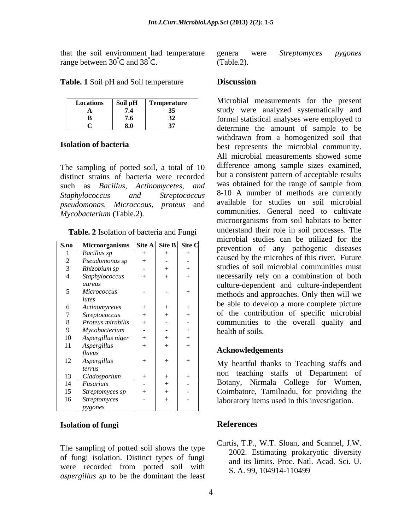that the soil environment had temperature genera were Streptomyces pygones range between 30<sup>°</sup>C and 38<sup>°</sup>C. (Table.2).

**Table. 1** Soil pH and Soil temperature **Discussion** 

| <b>Locations</b> | Soil pH | <b>Temperature</b> |  |
|------------------|---------|--------------------|--|
|                  | 7.4     | 35                 |  |
| R                | 7.6     | 32                 |  |
|                  |         |                    |  |

The sampling of potted soil, a total of 10 distinct strains of bacteria were recorded such as *Bacillus, Actinomycetes, and pseudomonas, Microccous, proteus* and

**Table. 2** Isolation of bacteria and Fungi

|                                                                 |     | meropial studies can be utilized for the     |
|-----------------------------------------------------------------|-----|----------------------------------------------|
| $\boxed{\text{S.no}}$ Microorganisms   Site A   Site B   Site C |     | prevention of any pathogenic diseases        |
| <b>Bacillus</b> sp                                              |     | caused by the microbes of this river. Future |
| Pseudomonas sp                                                  |     |                                              |
| Rhizobium sp                                                    |     | studies of soil microbial communities must   |
| Staphylococcus                                                  |     | necessarily rely on a combination of both    |
| aureus                                                          |     | culture-dependent and culture-independent    |
| Micrococcus                                                     |     | methods and approaches. Only then will we    |
| lutes                                                           |     |                                              |
| Actinomycetes                                                   |     | be able to develop a more complete picture   |
| <i>Streptococcus</i>                                            |     | of the contribution of specific microbial    |
| Proteus mirabilis                                               |     | communities to the overall quality and       |
| Mycobacterium                                                   |     | health of soils.                             |
| Aspergillus niger                                               | $+$ |                                              |
| Aspergillus                                                     |     |                                              |
| flavus                                                          |     | <b>Acknowledgements</b>                      |
| Aspergillus                                                     |     | My heartful thanks to Teaching staffs and    |
| terrus                                                          |     |                                              |
| Cladosporium                                                    |     | non teaching staffs of Department of         |
| Fusarium                                                        |     | Botany, Nirmala College for Women,           |
| Streptomyces sp                                                 |     | Coimbatore, Tamilnadu, for providing the     |
| Streptomyces                                                    |     | laboratory items used in this investigation. |
| pygones                                                         |     |                                              |

## **Isolation of fungi**

The sampling of potted soil shows the type of fungi isolation. Distinct types of fungi were recorded from potted soil with S. A. 99, 104914-110499 *aspergillus sp* to be the dominant the least

genera were *Streptomyces pygones* (Table.2).

## **Discussion**

Locations Soil pH Temperature MICrobial measurements for the present **A 7.4 35** study were analyzed systematically and **B 7.6 32 formal statistical analyses were employed to**  $C = \begin{bmatrix} 8.0 & 37 \end{bmatrix}$  determine the amount of sample to be **Isolation of bacteria** best represents the microbial community. *Staphylococcus and Streptococcus* 8-10 A number of methods are currently *Mycobacterium* (Table.2)*.* Microbial measurements for the present withdrawn from a homogenized soil that All microbial measurements showed some difference among sample sizes examined, but a consistent pattern of acceptable results was obtained for the range of sample from available for studies on soil microbial communities. General need to cultivate microorganisms from soil habitats to better understand their role in soil processes. The microbial studies can be utilized for the prevention of any pathogenic diseases caused by the microbes of this river. Future studies of soil microbial communities must  $\begin{array}{c|c|c|c|c|c|c|c} \hline \end{array}$  *A*  $\begin{array}{c|c|c|c|c} \hline \end{array}$  *A*  $\begin{array}{c|c|c} \hline \end{array}$  *+*  $\begin{array}{c|c|c} \hline \end{array}$  +  $\begin{array}{c|c} \hline \end{array}$  +  $\begin{array}{c|c} \hline \end{array}$  +  $\begin{array}{c|c} \hline \end{array}$  a combination of both culture-dependent and culture-independent *aureus* methods and approaches. Only then will we 5 *Micrococcus*  be able to develop a more complete picture 7 *Streptococcus*  $+$   $+$   $+$   $+$  of the contribution of specific microbial 8 *Proteus mirabilis*  $| + | - | - |$  communities to the overall quality and health of soils. **S.no Microorganisms Site A Site B Site C** 1 *Bacillus sp* + + + 2 *Pseudomonas sp*  $| + | - | - | -$  caused by the incrobes of this liver. Future  $3$   $\mid$  *Rhizobium sp*  $\mid$   $\mid$   $+$   $\mid$   $+$   $\mid$  studies of soil microbial communities must *lutes* and approaches. Only then will we lutes  $\begin{array}{c|c|c|c|c|c|c|c|c} \hline \end{array}$  *Actinomycetes*  $\begin{array}{c|c|c|c|c|c|c|c} \hline \end{array}$  +  $\begin{array}{c|c|c|c|c} \hline \end{array}$  +  $\begin{array}{c|c|c|c} \hline \end{array}$  +  $\begin{array}{c|c|c|c} \hline \end{array}$  +  $\begin{array}{c|c|c|c} \hline \end{array}$  +  $\begin{array}{c|c|c|c} \hline \end{array}$  +  $\begin{array$ 9 *Mycobacterium*  $\vert \cdot \vert$  -  $\vert$  +  $\vert$  health of soils.

# **Acknowledgements**

non teaching staffs of Department of *terrus* 14 *Fusarium*  $\begin{vmatrix} 1 & 1 & 1 \\ 1 & 1 & 1 \end{vmatrix}$  +  $\begin{vmatrix} 1 & 1 \\ 1 & 1 \end{vmatrix}$  Botany, Nirmala College for Women, 15 *Streptomyces sp*  $| + | + | - |$  Coimbatore, Tamilnadu, for providing the 16 *Streptomyces* | - | + | - | laboratory items used in this investigation.  $13 \mid Cladosporium \mid + \mid + \mid$   $+ \mid$   $+ \mid$   $+ \mid$   $+ \mid$   $+ \mid$   $+ \mid$   $+ \mid$   $+ \mid$   $+ \mid$   $+ \mid$   $+ \mid$   $+ \mid$   $+ \mid$   $+ \mid$   $+ \mid$   $+ \mid$   $+ \mid$   $+ \mid$   $+ \mid$   $+ \mid$   $+ \mid$   $+ \mid$   $+ \mid$   $+ \mid$   $+ \mid$   $+ \mid$   $+ \mid$   $+ \mid$   $+ \mid$   $+ \mid$   $+ \mid$   $+ \mid$   $+ \mid$   $+ \mid$ 

# **References**

Curtis, T.P., W.T. Sloan, and Scannel, J.W. 2002. Estimating prokaryotic diversity and its limits. Proc. Natl. Acad. Sci. U. S. A. 99, 104914-110499